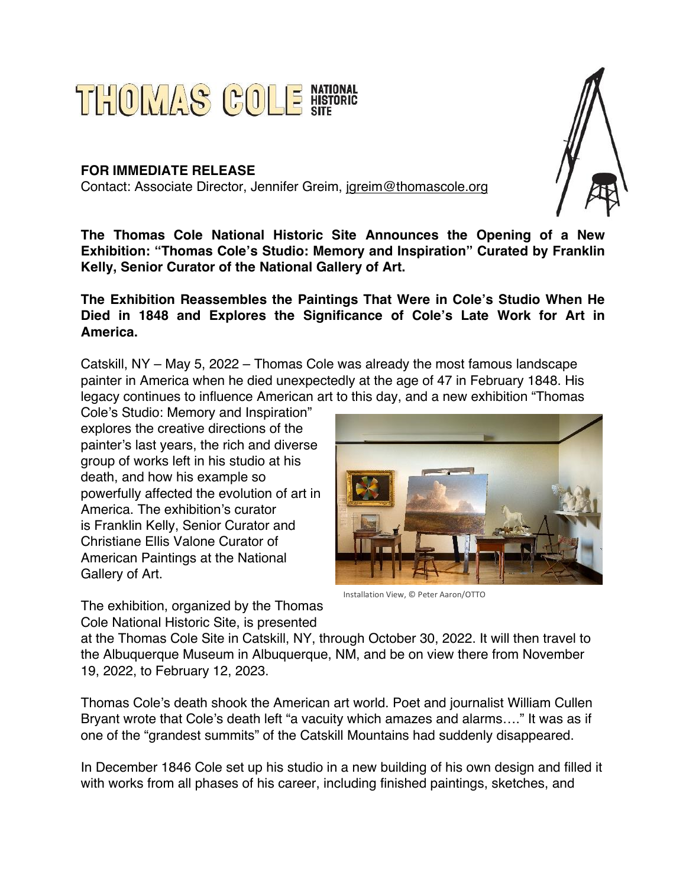

## **FOR IMMEDIATE RELEASE** Contact: Associate Director, Jennifer Greim, jgreim@thomascole.org



**The Thomas Cole National Historic Site Announces the Opening of a New Exhibition: "Thomas Cole's Studio: Memory and Inspiration" Curated by Franklin Kelly, Senior Curator of the National Gallery of Art.**

**The Exhibition Reassembles the Paintings That Were in Cole's Studio When He Died in 1848 and Explores the Significance of Cole's Late Work for Art in America.**

Catskill, NY – May 5, 2022 – Thomas Cole was already the most famous landscape painter in America when he died unexpectedly at the age of 47 in February 1848. His legacy continues to influence American art to this day, and a new exhibition "Thomas

Cole's Studio: Memory and Inspiration" explores the creative directions of the painter's last years, the rich and diverse group of works left in his studio at his death, and how his example so powerfully affected the evolution of art in America. The exhibition's curator is Franklin Kelly, Senior Curator and Christiane Ellis Valone Curator of American Paintings at the National Gallery of Art.

The exhibition, organized by the Thomas Cole National Historic Site, is presented



Installation View, © Peter Aaron/OTTO

at the Thomas Cole Site in Catskill, NY, through October 30, 2022. It will then travel to the Albuquerque Museum in Albuquerque, NM, and be on view there from November 19, 2022, to February 12, 2023.

Thomas Cole's death shook the American art world. Poet and journalist William Cullen Bryant wrote that Cole's death left "a vacuity which amazes and alarms…." It was as if one of the "grandest summits" of the Catskill Mountains had suddenly disappeared.

In December 1846 Cole set up his studio in a new building of his own design and filled it with works from all phases of his career, including finished paintings, sketches, and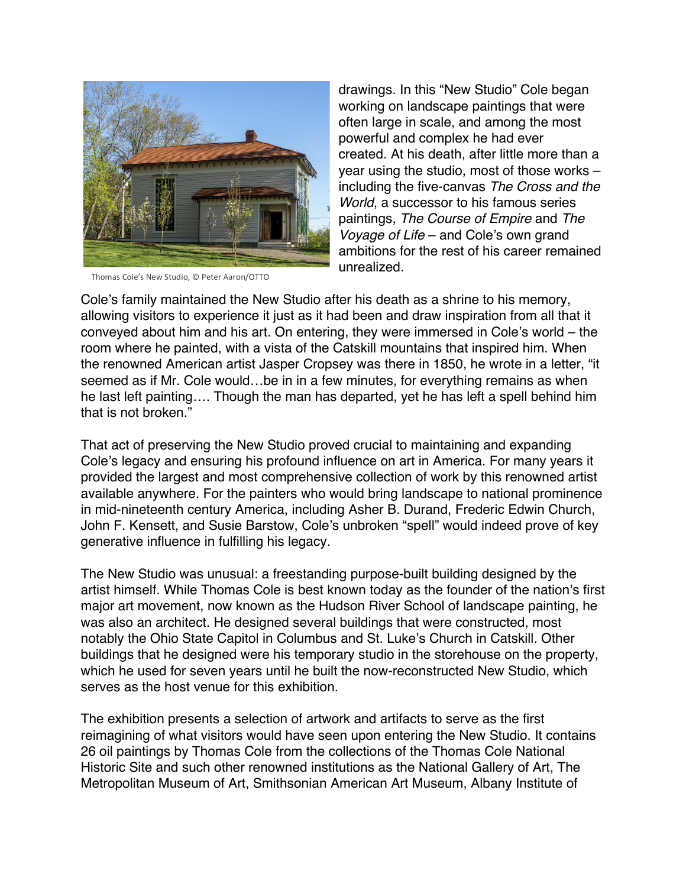

Thomas Cole's New Studio, © Peter Aaron/OTTO

drawings. In this "New Studio" Cole began working on landscape paintings that were often large in scale, and among the most powerful and complex he had ever created. At his death, after little more than a year using the studio, most of those works – including the five-canvas *The Cross and the World*, a successor to his famous series paintings, *The Course of Empire* and *The Voyage of Life* – and Cole's own grand ambitions for the rest of his career remained unrealized.

Cole's family maintained the New Studio after his death as a shrine to his memory, allowing visitors to experience it just as it had been and draw inspiration from all that it conveyed about him and his art. On entering, they were immersed in Cole's world – the room where he painted, with a vista of the Catskill mountains that inspired him. When the renowned American artist Jasper Cropsey was there in 1850, he wrote in a letter, "it seemed as if Mr. Cole would…be in in a few minutes, for everything remains as when he last left painting…. Though the man has departed, yet he has left a spell behind him that is not broken."

That act of preserving the New Studio proved crucial to maintaining and expanding Cole's legacy and ensuring his profound influence on art in America. For many years it provided the largest and most comprehensive collection of work by this renowned artist available anywhere. For the painters who would bring landscape to national prominence in mid-nineteenth century America, including Asher B. Durand, Frederic Edwin Church, John F. Kensett, and Susie Barstow, Cole's unbroken "spell" would indeed prove of key generative influence in fulfilling his legacy.

The New Studio was unusual: a freestanding purpose-built building designed by the artist himself. While Thomas Cole is best known today as the founder of the nation's first major art movement, now known as the Hudson River School of landscape painting, he was also an architect. He designed several buildings that were constructed, most notably the Ohio State Capitol in Columbus and St. Luke's Church in Catskill. Other buildings that he designed were his temporary studio in the storehouse on the property, which he used for seven years until he built the now-reconstructed New Studio, which serves as the host venue for this exhibition.

The exhibition presents a selection of artwork and artifacts to serve as the first reimagining of what visitors would have seen upon entering the New Studio. It contains 26 oil paintings by Thomas Cole from the collections of the Thomas Cole National Historic Site and such other renowned institutions as the National Gallery of Art, The Metropolitan Museum of Art, Smithsonian American Art Museum, Albany Institute of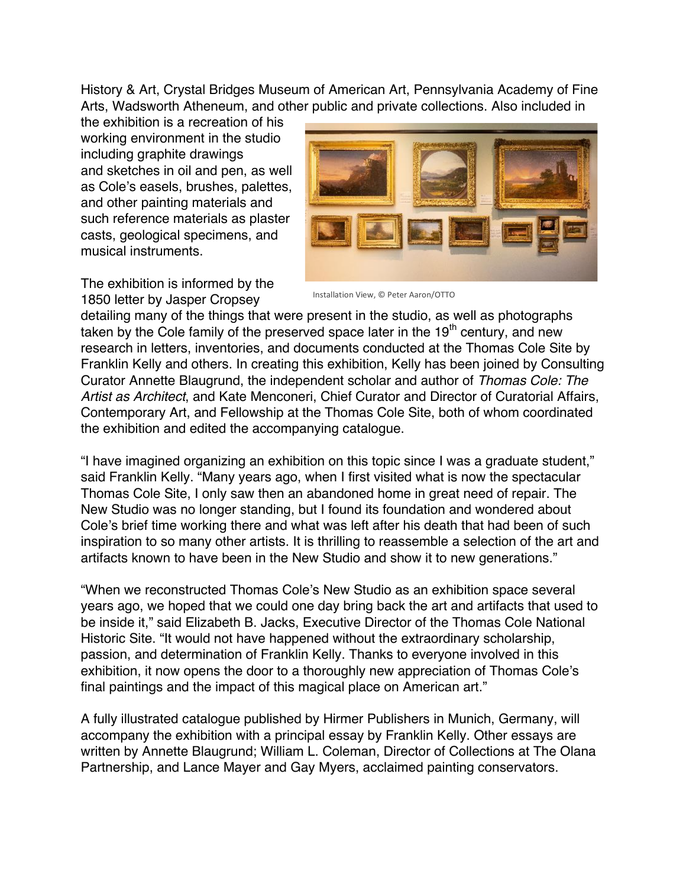History & Art, Crystal Bridges Museum of American Art, Pennsylvania Academy of Fine Arts, Wadsworth Atheneum, and other public and private collections. Also included in

the exhibition is a recreation of his working environment in the studio including graphite drawings and sketches in oil and pen, as well as Cole's easels, brushes, palettes, and other painting materials and such reference materials as plaster casts, geological specimens, and musical instruments.





detailing many of the things that were present in the studio, as well as photographs taken by the Cole family of the preserved space later in the 19<sup>th</sup> century, and new research in letters, inventories, and documents conducted at the Thomas Cole Site by Franklin Kelly and others. In creating this exhibition, Kelly has been joined by Consulting Curator Annette Blaugrund, the independent scholar and author of *Thomas Cole: The Artist as Architect*, and Kate Menconeri, Chief Curator and Director of Curatorial Affairs, Contemporary Art, and Fellowship at the Thomas Cole Site, both of whom coordinated the exhibition and edited the accompanying catalogue.

"I have imagined organizing an exhibition on this topic since I was a graduate student," said Franklin Kelly. "Many years ago, when I first visited what is now the spectacular Thomas Cole Site, I only saw then an abandoned home in great need of repair. The New Studio was no longer standing, but I found its foundation and wondered about Cole's brief time working there and what was left after his death that had been of such inspiration to so many other artists. It is thrilling to reassemble a selection of the art and artifacts known to have been in the New Studio and show it to new generations."

"When we reconstructed Thomas Cole's New Studio as an exhibition space several years ago, we hoped that we could one day bring back the art and artifacts that used to be inside it," said Elizabeth B. Jacks, Executive Director of the Thomas Cole National Historic Site. "It would not have happened without the extraordinary scholarship, passion, and determination of Franklin Kelly. Thanks to everyone involved in this exhibition, it now opens the door to a thoroughly new appreciation of Thomas Cole's final paintings and the impact of this magical place on American art."

A fully illustrated catalogue published by Hirmer Publishers in Munich, Germany, will accompany the exhibition with a principal essay by Franklin Kelly. Other essays are written by Annette Blaugrund; William L. Coleman, Director of Collections at The Olana Partnership, and Lance Mayer and Gay Myers, acclaimed painting conservators.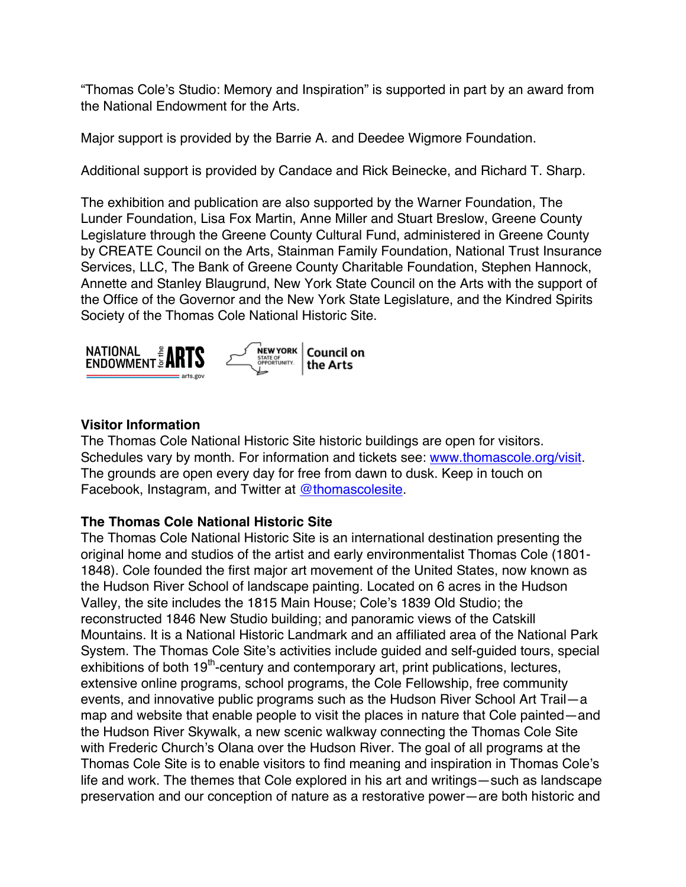"Thomas Cole's Studio: Memory and Inspiration" is supported in part by an award from the National Endowment for the Arts.

Major support is provided by the Barrie A. and Deedee Wigmore Foundation.

Additional support is provided by Candace and Rick Beinecke, and Richard T. Sharp.

The exhibition and publication are also supported by the Warner Foundation, The Lunder Foundation, Lisa Fox Martin, Anne Miller and Stuart Breslow, Greene County Legislature through the Greene County Cultural Fund, administered in Greene County by CREATE Council on the Arts, Stainman Family Foundation, National Trust Insurance Services, LLC, The Bank of Greene County Charitable Foundation, Stephen Hannock, Annette and Stanley Blaugrund, New York State Council on the Arts with the support of the Office of the Governor and the New York State Legislature, and the Kindred Spirits Society of the Thomas Cole National Historic Site.



## **Visitor Information**

The Thomas Cole National Historic Site historic buildings are open for visitors. Schedules vary by month. For information and tickets see: www.thomascole.org/visit. The grounds are open every day for free from dawn to dusk. Keep in touch on Facebook, Instagram, and Twitter at @thomascolesite.

## **The Thomas Cole National Historic Site**

The Thomas Cole National Historic Site is an international destination presenting the original home and studios of the artist and early environmentalist Thomas Cole (1801- 1848). Cole founded the first major art movement of the United States, now known as the Hudson River School of landscape painting. Located on 6 acres in the Hudson Valley, the site includes the 1815 Main House; Cole's 1839 Old Studio; the reconstructed 1846 New Studio building; and panoramic views of the Catskill Mountains. It is a National Historic Landmark and an affiliated area of the National Park System. The Thomas Cole Site's activities include guided and self-guided tours, special exhibitions of both 19<sup>th</sup>-century and contemporary art, print publications, lectures, extensive online programs, school programs, the Cole Fellowship, free community events, and innovative public programs such as the Hudson River School Art Trail—a map and website that enable people to visit the places in nature that Cole painted—and the Hudson River Skywalk, a new scenic walkway connecting the Thomas Cole Site with Frederic Church's Olana over the Hudson River. The goal of all programs at the Thomas Cole Site is to enable visitors to find meaning and inspiration in Thomas Cole's life and work. The themes that Cole explored in his art and writings—such as landscape preservation and our conception of nature as a restorative power—are both historic and